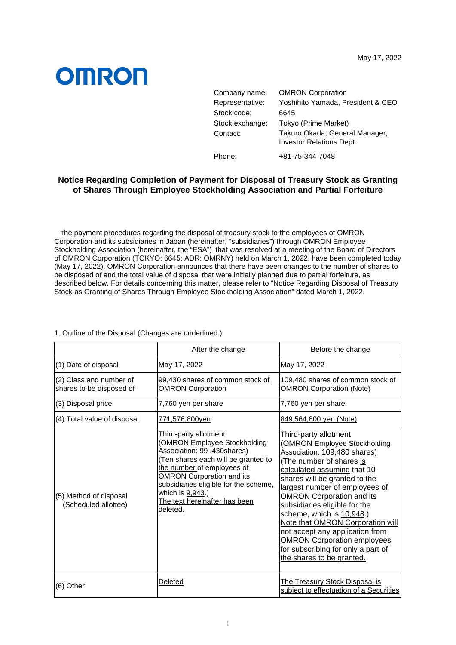## **OMRON**

| Company name:   | <b>OMRON Corporation</b>                                          |
|-----------------|-------------------------------------------------------------------|
| Representative: | Yoshihito Yamada, President & CEO                                 |
| Stock code:     | 6645                                                              |
| Stock exchange: | Tokyo (Prime Market)                                              |
| Contact:        | Takuro Okada, General Manager,<br><b>Investor Relations Dept.</b> |
| Phone:          | +81-75-344-7048                                                   |

## **Notice Regarding Completion of Payment for Disposal of Treasury Stock as Granting of Shares Through Employee Stockholding Association and Partial Forfeiture**

The payment procedures regarding the disposal of treasury stock to the employees of OMRON Corporation and its subsidiaries in Japan (hereinafter, "subsidiaries") through OMRON Employee Stockholding Association (hereinafter, the "ESA") that was resolved at a meeting of the Board of Directors of OMRON Corporation (TOKYO: 6645; ADR: OMRNY) held on March 1, 2022, have been completed today (May 17, 2022). OMRON Corporation announces that there have been changes to the number of shares to be disposed of and the total value of disposal that were initially planned due to partial forfeiture, as described below. For details concerning this matter, please refer to "Notice Regarding Disposal of Treasury Stock as Granting of Shares Through Employee Stockholding Association" dated March 1, 2022.

|                                                     | After the change                                                                                                                                                                                                                                                                                                 | Before the change                                                                                                                                                                                                                                                                                                                                                                                                                                                                                     |
|-----------------------------------------------------|------------------------------------------------------------------------------------------------------------------------------------------------------------------------------------------------------------------------------------------------------------------------------------------------------------------|-------------------------------------------------------------------------------------------------------------------------------------------------------------------------------------------------------------------------------------------------------------------------------------------------------------------------------------------------------------------------------------------------------------------------------------------------------------------------------------------------------|
| (1) Date of disposal                                | May 17, 2022                                                                                                                                                                                                                                                                                                     | May 17, 2022                                                                                                                                                                                                                                                                                                                                                                                                                                                                                          |
| (2) Class and number of<br>shares to be disposed of | 99,430 shares of common stock of<br><b>OMRON Corporation</b>                                                                                                                                                                                                                                                     | 109,480 shares of common stock of<br><b>OMRON Corporation (Note)</b>                                                                                                                                                                                                                                                                                                                                                                                                                                  |
| (3) Disposal price                                  | 7,760 yen per share                                                                                                                                                                                                                                                                                              | 7,760 yen per share                                                                                                                                                                                                                                                                                                                                                                                                                                                                                   |
| (4) Total value of disposal                         | 771,576,800yen                                                                                                                                                                                                                                                                                                   | 849,564,800 yen (Note)                                                                                                                                                                                                                                                                                                                                                                                                                                                                                |
| (5) Method of disposal<br>(Scheduled allottee)      | Third-party allotment<br>(OMRON Employee Stockholding<br>Association: 99, 430 shares)<br>(Ten shares each will be granted to<br>the number of employees of<br><b>OMRON Corporation and its</b><br>subsidiaries eligible for the scheme,<br>which is <u>9,943</u> .)<br>The text hereinafter has been<br>deleted. | Third-party allotment<br>(OMRON Employee Stockholding<br>Association: 109,480 shares)<br>(The number of shares is<br>calculated assuming that 10<br>shares will be granted to the<br>largest number of employees of<br><b>OMRON Corporation and its</b><br>subsidiaries eligible for the<br>scheme, which is 10,948.)<br>Note that OMRON Corporation will<br>not accept any application from<br><b>OMRON Corporation employees</b><br>for subscribing for only a part of<br>the shares to be granted. |
| (6) Other                                           | Deleted                                                                                                                                                                                                                                                                                                          | The Treasury Stock Disposal is<br>subject to effectuation of a Securities                                                                                                                                                                                                                                                                                                                                                                                                                             |

1. Outline of the Disposal (Changes are underlined.)